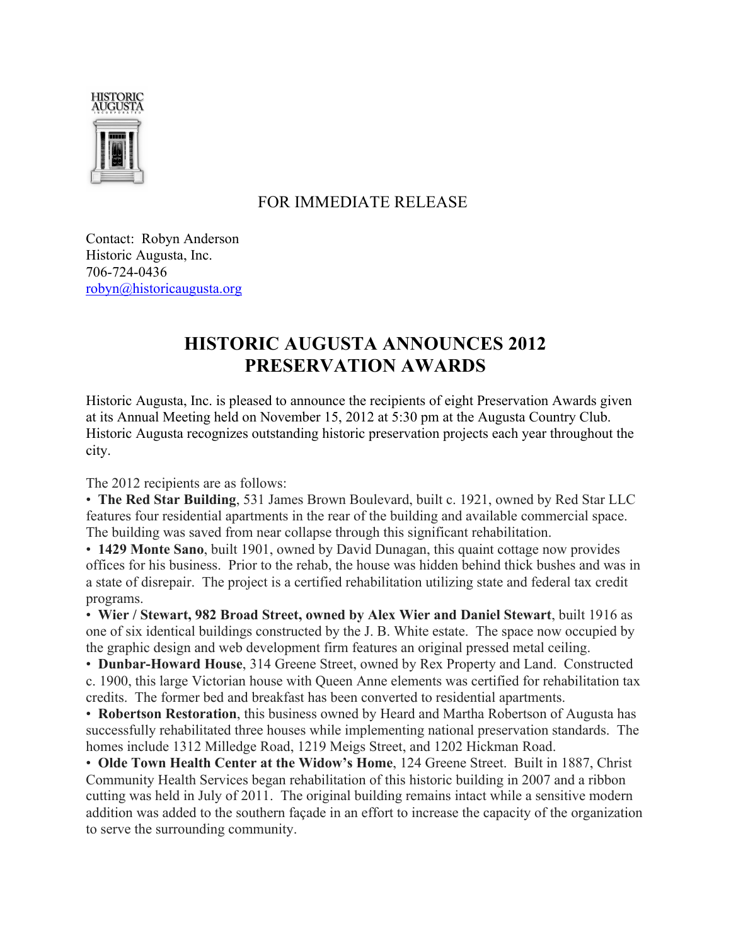

## FOR IMMEDIATE RELEASE

Contact: Robyn Anderson Historic Augusta, Inc. 706-724-0436 robyn@historicaugusta.org

## **HISTORIC AUGUSTA ANNOUNCES 2012 PRESERVATION AWARDS**

Historic Augusta, Inc. is pleased to announce the recipients of eight Preservation Awards given at its Annual Meeting held on November 15, 2012 at 5:30 pm at the Augusta Country Club. Historic Augusta recognizes outstanding historic preservation projects each year throughout the city.

The 2012 recipients are as follows:

• **The Red Star Building**, 531 James Brown Boulevard, built c. 1921, owned by Red Star LLC features four residential apartments in the rear of the building and available commercial space. The building was saved from near collapse through this significant rehabilitation.

• **1429 Monte Sano**, built 1901, owned by David Dunagan, this quaint cottage now provides offices for his business. Prior to the rehab, the house was hidden behind thick bushes and was in a state of disrepair. The project is a certified rehabilitation utilizing state and federal tax credit programs.

• **Wier / Stewart, 982 Broad Street, owned by Alex Wier and Daniel Stewart**, built 1916 as one of six identical buildings constructed by the J. B. White estate. The space now occupied by the graphic design and web development firm features an original pressed metal ceiling.

• **Dunbar-Howard House**, 314 Greene Street, owned by Rex Property and Land. Constructed c. 1900, this large Victorian house with Queen Anne elements was certified for rehabilitation tax credits. The former bed and breakfast has been converted to residential apartments.

• **Robertson Restoration**, this business owned by Heard and Martha Robertson of Augusta has successfully rehabilitated three houses while implementing national preservation standards. The homes include 1312 Milledge Road, 1219 Meigs Street, and 1202 Hickman Road.

• **Olde Town Health Center at the Widow's Home**, 124 Greene Street. Built in 1887, Christ Community Health Services began rehabilitation of this historic building in 2007 and a ribbon cutting was held in July of 2011. The original building remains intact while a sensitive modern addition was added to the southern façade in an effort to increase the capacity of the organization to serve the surrounding community.